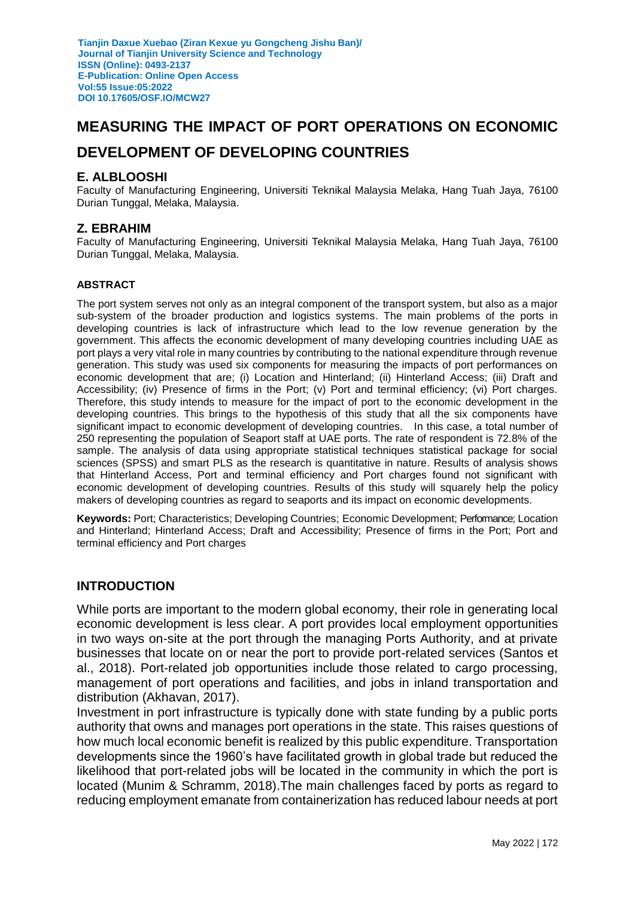# **MEASURING THE IMPACT OF PORT OPERATIONS ON ECONOMIC**

# **DEVELOPMENT OF DEVELOPING COUNTRIES**

#### **E. ALBLOOSHI**

Faculty of Manufacturing Engineering, Universiti Teknikal Malaysia Melaka, Hang Tuah Jaya, 76100 Durian Tunggal, Melaka, Malaysia.

#### **Z. EBRAHIM**

Faculty of Manufacturing Engineering, Universiti Teknikal Malaysia Melaka, Hang Tuah Jaya, 76100 Durian Tunggal, Melaka, Malaysia.

#### **ABSTRACT**

The port system serves not only as an integral component of the transport system, but also as a major sub-system of the broader production and logistics systems. The main problems of the ports in developing countries is lack of infrastructure which lead to the low revenue generation by the government. This affects the economic development of many developing countries including UAE as port plays a very vital role in many countries by contributing to the national expenditure through revenue generation. This study was used six components for measuring the impacts of port performances on economic development that are; (i) Location and Hinterland; (ii) Hinterland Access; (iii) Draft and Accessibility; (iv) Presence of firms in the Port; (v) Port and terminal efficiency; (vi) Port charges. Therefore, this study intends to measure for the impact of port to the economic development in the developing countries. This brings to the hypothesis of this study that all the six components have significant impact to economic development of developing countries. In this case, a total number of 250 representing the population of Seaport staff at UAE ports. The rate of respondent is 72.8% of the sample. The analysis of data using appropriate statistical techniques statistical package for social sciences (SPSS) and smart PLS as the research is quantitative in nature. Results of analysis shows that Hinterland Access, Port and terminal efficiency and Port charges found not significant with economic development of developing countries. Results of this study will squarely help the policy makers of developing countries as regard to seaports and its impact on economic developments.

Keywords: Port; Characteristics; Developing Countries; Economic Development; Performance; Location and Hinterland; Hinterland Access; Draft and Accessibility; Presence of firms in the Port; Port and terminal efficiency and Port charges

#### **INTRODUCTION**

While ports are important to the modern global economy, their role in generating local economic development is less clear. A port provides local employment opportunities in two ways on-site at the port through the managing Ports Authority, and at private businesses that locate on or near the port to provide port-related services (Santos et al., 2018). Port-related job opportunities include those related to cargo processing, management of port operations and facilities, and jobs in inland transportation and distribution (Akhavan, 2017).

Investment in port infrastructure is typically done with state funding by a public ports authority that owns and manages port operations in the state. This raises questions of how much local economic benefit is realized by this public expenditure. Transportation developments since the 1960's have facilitated growth in global trade but reduced the likelihood that port-related jobs will be located in the community in which the port is located (Munim & Schramm, 2018).The main challenges faced by ports as regard to reducing employment emanate from containerization has reduced labour needs at port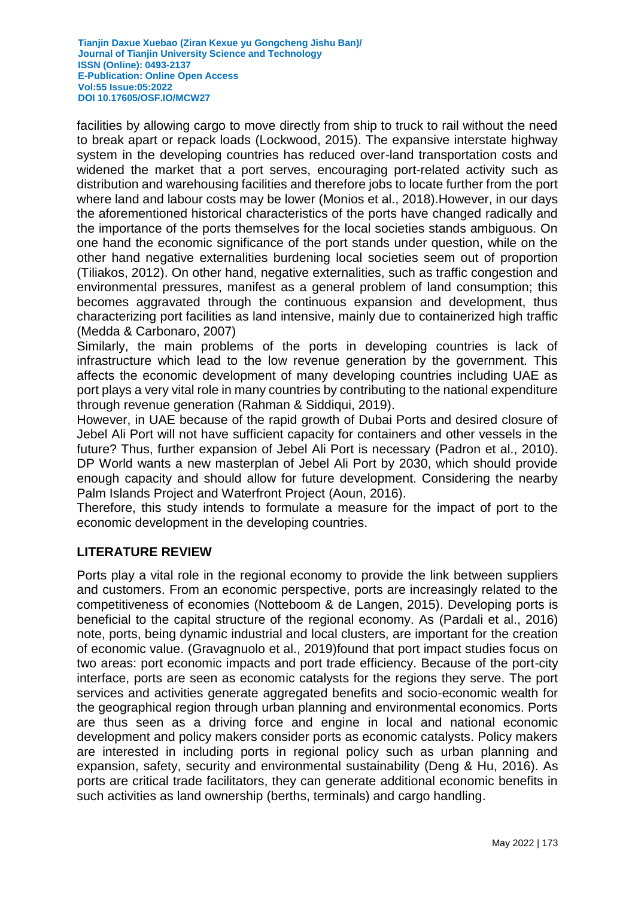facilities by allowing cargo to move directly from ship to truck to rail without the need to break apart or repack loads (Lockwood, 2015). The expansive interstate highway system in the developing countries has reduced over-land transportation costs and widened the market that a port serves, encouraging port-related activity such as distribution and warehousing facilities and therefore jobs to locate further from the port where land and labour costs may be lower (Monios et al., 2018).However, in our days the aforementioned historical characteristics of the ports have changed radically and the importance of the ports themselves for the local societies stands ambiguous. On one hand the economic significance of the port stands under question, while on the other hand negative externalities burdening local societies seem out of proportion (Tiliakos, 2012). On other hand, negative externalities, such as traffic congestion and environmental pressures, manifest as a general problem of land consumption; this becomes aggravated through the continuous expansion and development, thus characterizing port facilities as land intensive, mainly due to containerized high traffic (Medda & Carbonaro, 2007)

Similarly, the main problems of the ports in developing countries is lack of infrastructure which lead to the low revenue generation by the government. This affects the economic development of many developing countries including UAE as port plays a very vital role in many countries by contributing to the national expenditure through revenue generation (Rahman & Siddiqui, 2019).

However, in UAE because of the rapid growth of Dubai Ports and desired closure of Jebel Ali Port will not have sufficient capacity for containers and other vessels in the future? Thus, further expansion of Jebel Ali Port is necessary (Padron et al., 2010). DP World wants a new masterplan of Jebel Ali Port by 2030, which should provide enough capacity and should allow for future development. Considering the nearby Palm Islands Project and Waterfront Project (Aoun, 2016).

Therefore, this study intends to formulate a measure for the impact of port to the economic development in the developing countries.

## **LITERATURE REVIEW**

Ports play a vital role in the regional economy to provide the link between suppliers and customers. From an economic perspective, ports are increasingly related to the competitiveness of economies (Notteboom & de Langen, 2015). Developing ports is beneficial to the capital structure of the regional economy. As (Pardali et al., 2016) note, ports, being dynamic industrial and local clusters, are important for the creation of economic value. (Gravagnuolo et al., 2019)found that port impact studies focus on two areas: port economic impacts and port trade efficiency. Because of the port-city interface, ports are seen as economic catalysts for the regions they serve. The port services and activities generate aggregated benefits and socio-economic wealth for the geographical region through urban planning and environmental economics. Ports are thus seen as a driving force and engine in local and national economic development and policy makers consider ports as economic catalysts. Policy makers are interested in including ports in regional policy such as urban planning and expansion, safety, security and environmental sustainability (Deng & Hu, 2016). As ports are critical trade facilitators, they can generate additional economic benefits in such activities as land ownership (berths, terminals) and cargo handling.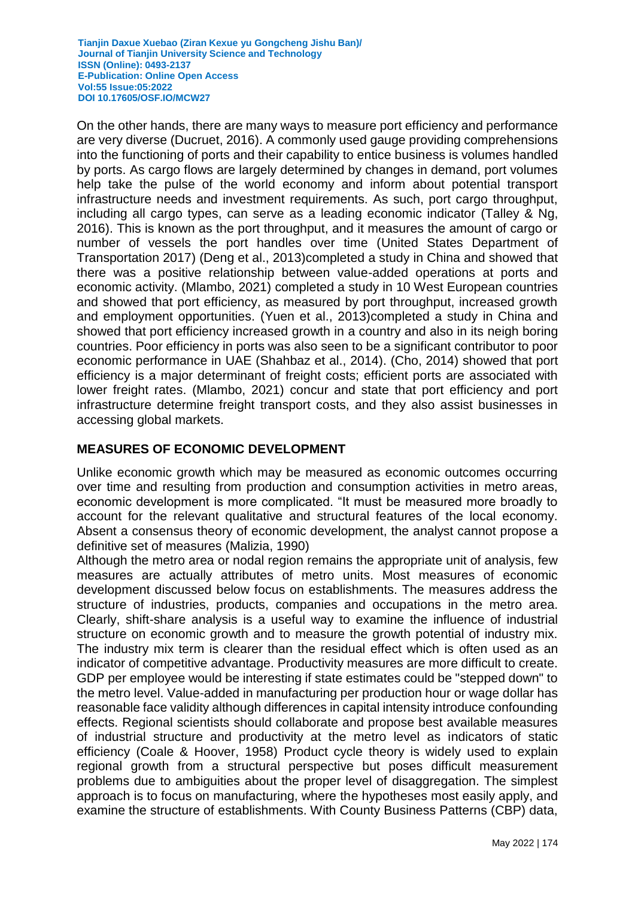On the other hands, there are many ways to measure port efficiency and performance are very diverse (Ducruet, 2016). A commonly used gauge providing comprehensions into the functioning of ports and their capability to entice business is volumes handled by ports. As cargo flows are largely determined by changes in demand, port volumes help take the pulse of the world economy and inform about potential transport infrastructure needs and investment requirements. As such, port cargo throughput, including all cargo types, can serve as a leading economic indicator (Talley & Ng, 2016). This is known as the port throughput, and it measures the amount of cargo or number of vessels the port handles over time [\(United States Department of](https://www.mdpi.com/2227-7099/9/4/135/htm#B96-economies-09-00135)  [Transportation 2017\)](https://www.mdpi.com/2227-7099/9/4/135/htm#B96-economies-09-00135) (Deng et al., 2013)completed a study in China and showed that there was a positive relationship between value-added operations at ports and economic activity. (Mlambo, 2021) completed a study in 10 West European countries and showed that port efficiency, as measured by port throughput, increased growth and employment opportunities. (Yuen et al., 2013)completed a study in China and showed that port efficiency increased growth in a country and also in its neigh boring countries. Poor efficiency in ports was also seen to be a significant contributor to poor economic performance in UAE (Shahbaz et al., 2014). (Cho, 2014) showed that port efficiency is a major determinant of freight costs; efficient ports are associated with lower freight rates. (Mlambo, 2021) concur and state that port efficiency and port infrastructure determine freight transport costs, and they also assist businesses in accessing global markets.

### **MEASURES OF ECONOMIC DEVELOPMENT**

Unlike economic growth which may be measured as economic outcomes occurring over time and resulting from production and consumption activities in metro areas, economic development is more complicated. "It must be measured more broadly to account for the relevant qualitative and structural features of the local economy. Absent a consensus theory of economic development, the analyst cannot propose a definitive set of measures (Malizia, 1990)

Although the metro area or nodal region remains the appropriate unit of analysis, few measures are actually attributes of metro units. Most measures of economic development discussed below focus on establishments. The measures address the structure of industries, products, companies and occupations in the metro area. Clearly, shift-share analysis is a useful way to examine the influence of industrial structure on economic growth and to measure the growth potential of industry mix. The industry mix term is clearer than the residual effect which is often used as an indicator of competitive advantage. Productivity measures are more difficult to create. GDP per employee would be interesting if state estimates could be "stepped down" to the metro level. Value-added in manufacturing per production hour or wage dollar has reasonable face validity although differences in capital intensity introduce confounding effects. Regional scientists should collaborate and propose best available measures of industrial structure and productivity at the metro level as indicators of static efficiency (Coale & Hoover, 1958) Product cycle theory is widely used to explain regional growth from a structural perspective but poses difficult measurement problems due to ambiguities about the proper level of disaggregation. The simplest approach is to focus on manufacturing, where the hypotheses most easily apply, and examine the structure of establishments. With County Business Patterns (CBP) data,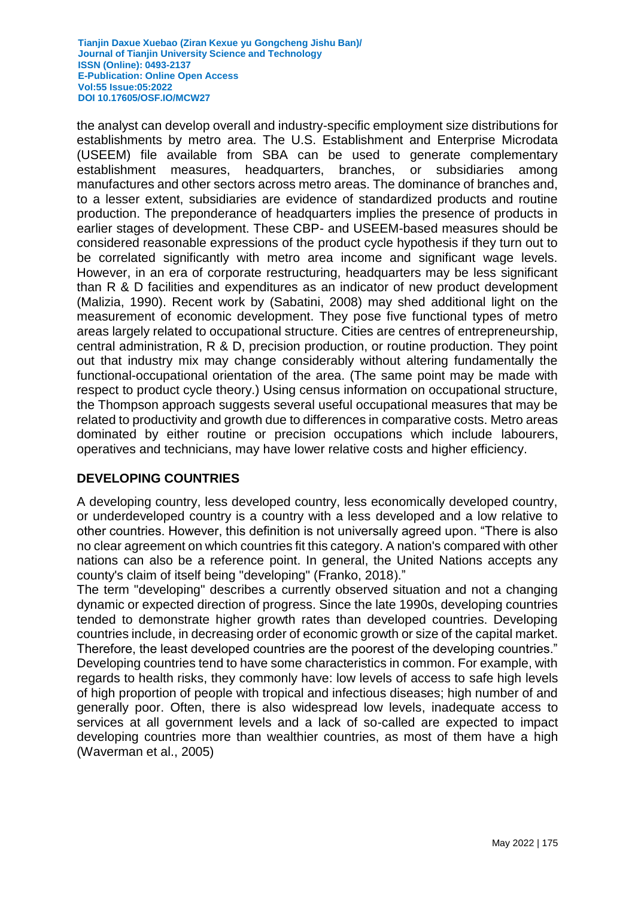the analyst can develop overall and industry-specific employment size distributions for establishments by metro area. The U.S. Establishment and Enterprise Microdata (USEEM) file available from SBA can be used to generate complementary establishment measures, headquarters, branches, or subsidiaries among manufactures and other sectors across metro areas. The dominance of branches and, to a lesser extent, subsidiaries are evidence of standardized products and routine production. The preponderance of headquarters implies the presence of products in earlier stages of development. These CBP- and USEEM-based measures should be considered reasonable expressions of the product cycle hypothesis if they turn out to be correlated significantly with metro area income and significant wage levels. However, in an era of corporate restructuring, headquarters may be less significant than R & D facilities and expenditures as an indicator of new product development (Malizia, 1990). Recent work by (Sabatini, 2008) may shed additional light on the measurement of economic development. They pose five functional types of metro areas largely related to occupational structure. Cities are centres of entrepreneurship, central administration, R & D, precision production, or routine production. They point out that industry mix may change considerably without altering fundamentally the functional-occupational orientation of the area. (The same point may be made with respect to product cycle theory.) Using census information on occupational structure, the Thompson approach suggests several useful occupational measures that may be related to productivity and growth due to differences in comparative costs. Metro areas dominated by either routine or precision occupations which include labourers, operatives and technicians, may have lower relative costs and higher efficiency.

## **DEVELOPING COUNTRIES**

A developing country, less developed country, less economically developed country, or underdeveloped country is a country with a less developed and a low relative to other countries. However, this definition is not universally agreed upon. "There is also no clear agreement on which countries fit this category. A nation's compared with other nations can also be a reference point. In general, the United Nations accepts any county's claim of itself being "developing" (Franko, 2018)."

The term "developing" describes a currently observed situation and not a changing dynamic or expected direction of progress. Since the late 1990s, developing countries tended to demonstrate higher growth rates than developed countries. Developing countries include, in decreasing order of economic growth or size of the capital market. Therefore, the least developed countries are the poorest of the developing countries." Developing countries tend to have some characteristics in common. For example, with regards to health risks, they commonly have: low levels of access to safe high levels of high proportion of people with tropical and infectious diseases; high number of and generally poor. Often, there is also widespread low levels, inadequate access to services at all government levels and a lack of so-called are expected to impact developing countries more than wealthier countries, as most of them have a high (Waverman et al., 2005)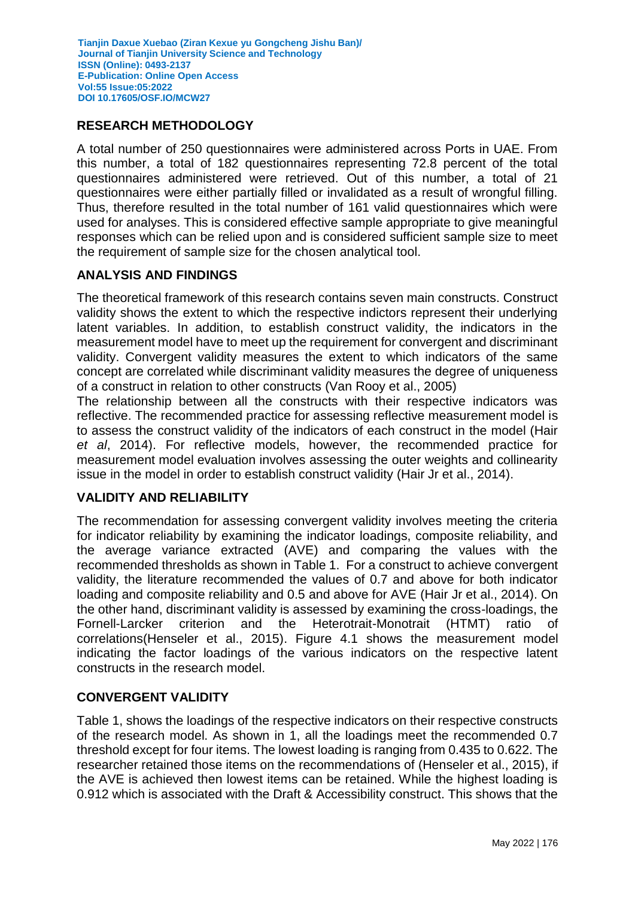## **RESEARCH METHODOLOGY**

A total number of 250 questionnaires were administered across Ports in UAE. From this number, a total of 182 questionnaires representing 72.8 percent of the total questionnaires administered were retrieved. Out of this number, a total of 21 questionnaires were either partially filled or invalidated as a result of wrongful filling. Thus, therefore resulted in the total number of 161 valid questionnaires which were used for analyses. This is considered effective sample appropriate to give meaningful responses which can be relied upon and is considered sufficient sample size to meet the requirement of sample size for the chosen analytical tool.

### **ANALYSIS AND FINDINGS**

The theoretical framework of this research contains seven main constructs. Construct validity shows the extent to which the respective indictors represent their underlying latent variables. In addition, to establish construct validity, the indicators in the measurement model have to meet up the requirement for convergent and discriminant validity. Convergent validity measures the extent to which indicators of the same concept are correlated while discriminant validity measures the degree of uniqueness of a construct in relation to other constructs (Van Rooy et al., 2005)

The relationship between all the constructs with their respective indicators was reflective. The recommended practice for assessing reflective measurement model is to assess the construct validity of the indicators of each construct in the model (Hair *et al*, 2014). For reflective models, however, the recommended practice for measurement model evaluation involves assessing the outer weights and collinearity issue in the model in order to establish construct validity (Hair Jr et al., 2014).

#### **VALIDITY AND RELIABILITY**

The recommendation for assessing convergent validity involves meeting the criteria for indicator reliability by examining the indicator loadings, composite reliability, and the average variance extracted (AVE) and comparing the values with the recommended thresholds as shown in Table 1. For a construct to achieve convergent validity, the literature recommended the values of 0.7 and above for both indicator loading and composite reliability and 0.5 and above for AVE (Hair Jr et al., 2014). On the other hand, discriminant validity is assessed by examining the cross-loadings, the Fornell-Larcker criterion and the Heterotrait-Monotrait (HTMT) ratio of correlations(Henseler et al., 2015). Figure 4.1 shows the measurement model indicating the factor loadings of the various indicators on the respective latent constructs in the research model.

## **CONVERGENT VALIDITY**

Table 1, shows the loadings of the respective indicators on their respective constructs of the research model. As shown in 1, all the loadings meet the recommended 0.7 threshold except for four items. The lowest loading is ranging from 0.435 to 0.622. The researcher retained those items on the recommendations of (Henseler et al., 2015), if the AVE is achieved then lowest items can be retained. While the highest loading is 0.912 which is associated with the Draft & Accessibility construct. This shows that the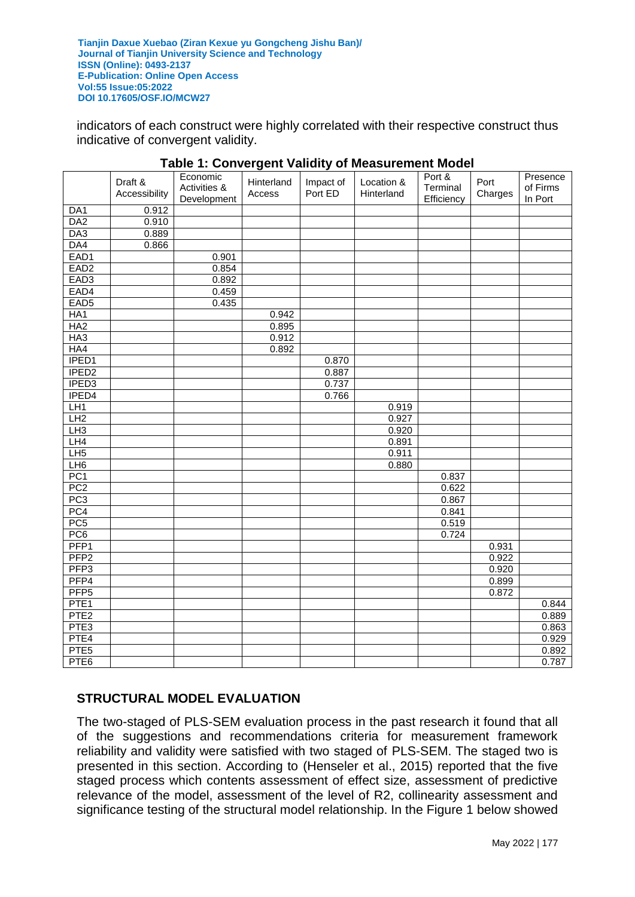indicators of each construct were highly correlated with their respective construct thus indicative of convergent validity.

|                   | Draft &<br>Accessibility | Economic<br>Activities &<br>Development | Hinterland<br>Access | Impact of<br>Port ED | Location &<br>Hinterland | Port &<br>Terminal<br>Efficiency | Port<br>Charges | Presence<br>of Firms<br>In Port |
|-------------------|--------------------------|-----------------------------------------|----------------------|----------------------|--------------------------|----------------------------------|-----------------|---------------------------------|
| DA1               | 0.912                    |                                         |                      |                      |                          |                                  |                 |                                 |
| DA <sub>2</sub>   | 0.910                    |                                         |                      |                      |                          |                                  |                 |                                 |
| DA3               | 0.889                    |                                         |                      |                      |                          |                                  |                 |                                 |
| DA4               | 0.866                    |                                         |                      |                      |                          |                                  |                 |                                 |
| EAD1              |                          | 0.901                                   |                      |                      |                          |                                  |                 |                                 |
| EAD <sub>2</sub>  |                          | 0.854                                   |                      |                      |                          |                                  |                 |                                 |
| EAD <sub>3</sub>  |                          | 0.892                                   |                      |                      |                          |                                  |                 |                                 |
| EAD4              |                          | 0.459                                   |                      |                      |                          |                                  |                 |                                 |
| EAD <sub>5</sub>  |                          | 0.435                                   |                      |                      |                          |                                  |                 |                                 |
| HA <sub>1</sub>   |                          |                                         | 0.942                |                      |                          |                                  |                 |                                 |
| HA2               |                          |                                         | 0.895                |                      |                          |                                  |                 |                                 |
| HA3               |                          |                                         | 0.912                |                      |                          |                                  |                 |                                 |
| HA4               |                          |                                         | 0.892                |                      |                          |                                  |                 |                                 |
| IPED1             |                          |                                         |                      | 0.870                |                          |                                  |                 |                                 |
| IPED <sub>2</sub> |                          |                                         |                      | 0.887                |                          |                                  |                 |                                 |
| IPED <sub>3</sub> |                          |                                         |                      | 0.737                |                          |                                  |                 |                                 |
| IPED <sub>4</sub> |                          |                                         |                      | 0.766                |                          |                                  |                 |                                 |
| LH1               |                          |                                         |                      |                      | 0.919                    |                                  |                 |                                 |
| LH2               |                          |                                         |                      |                      | 0.927                    |                                  |                 |                                 |
| LH3               |                          |                                         |                      |                      | 0.920                    |                                  |                 |                                 |
| LH4               |                          |                                         |                      |                      | 0.891                    |                                  |                 |                                 |
| LH5               |                          |                                         |                      |                      | 0.911                    |                                  |                 |                                 |
| LH <sub>6</sub>   |                          |                                         |                      |                      | 0.880                    |                                  |                 |                                 |
| PC <sub>1</sub>   |                          |                                         |                      |                      |                          | 0.837                            |                 |                                 |
| PC <sub>2</sub>   |                          |                                         |                      |                      |                          | 0.622                            |                 |                                 |
| PC3               |                          |                                         |                      |                      |                          | 0.867                            |                 |                                 |
| PC4               |                          |                                         |                      |                      |                          | 0.841                            |                 |                                 |
| PC <sub>5</sub>   |                          |                                         |                      |                      |                          | 0.519                            |                 |                                 |
| PC6               |                          |                                         |                      |                      |                          | 0.724                            |                 |                                 |
| PFP <sub>1</sub>  |                          |                                         |                      |                      |                          |                                  | 0.931           |                                 |
| PFP <sub>2</sub>  |                          |                                         |                      |                      |                          |                                  | 0.922           |                                 |
| PFP <sub>3</sub>  |                          |                                         |                      |                      |                          |                                  | 0.920           |                                 |
| PFP4              |                          |                                         |                      |                      |                          |                                  | 0.899           |                                 |
| PFP <sub>5</sub>  |                          |                                         |                      |                      |                          |                                  | 0.872           |                                 |
| PTE <sub>1</sub>  |                          |                                         |                      |                      |                          |                                  |                 | 0.844                           |
| PTE <sub>2</sub>  |                          |                                         |                      |                      |                          |                                  |                 | 0.889                           |
| PTE <sub>3</sub>  |                          |                                         |                      |                      |                          |                                  |                 | 0.863                           |
| PTE4              |                          |                                         |                      |                      |                          |                                  |                 | 0.929                           |
| PTE <sub>5</sub>  |                          |                                         |                      |                      |                          |                                  |                 | 0.892                           |
| PTE <sub>6</sub>  |                          |                                         |                      |                      |                          |                                  |                 | 0.787                           |

#### **Table 1: Convergent Validity of Measurement Model**

## **STRUCTURAL MODEL EVALUATION**

The two-staged of PLS-SEM evaluation process in the past research it found that all of the suggestions and recommendations criteria for measurement framework reliability and validity were satisfied with two staged of PLS-SEM. The staged two is presented in this section. According to (Henseler et al., 2015) reported that the five staged process which contents assessment of effect size, assessment of predictive relevance of the model, assessment of the level of R2, collinearity assessment and significance testing of the structural model relationship. In the Figure 1 below showed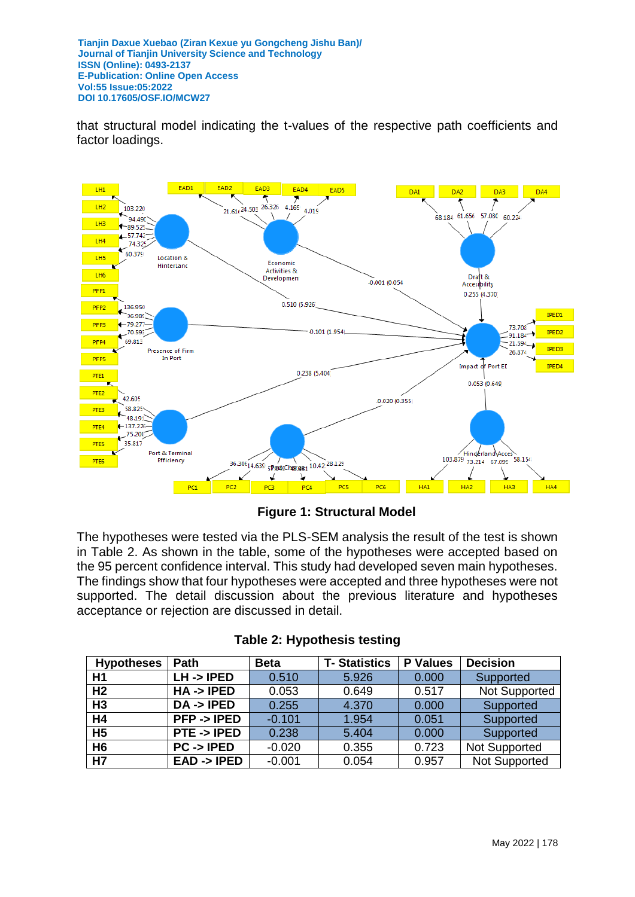that structural model indicating the t-values of the respective path coefficients and factor loadings.



**Figure 1: Structural Model** 

The hypotheses were tested via the PLS-SEM analysis the result of the test is shown in Table 2. As shown in the table, some of the hypotheses were accepted based on the 95 percent confidence interval. This study had developed seven main hypotheses. The findings show that four hypotheses were accepted and three hypotheses were not supported. The detail discussion about the previous literature and hypotheses acceptance or rejection are discussed in detail.

| <b>Hypotheses</b> | Path                   | <b>Beta</b> | <b>T-Statistics</b> | <b>P</b> Values | <b>Decision</b>      |
|-------------------|------------------------|-------------|---------------------|-----------------|----------------------|
| H1                | $LH \rightarrow IPED$  | 0.510       | 5.926               | 0.000           | Supported            |
| H <sub>2</sub>    | $HA \rightarrow IPED$  | 0.053       | 0.649               | 0.517           | <b>Not Supported</b> |
| H3                | $DA \rightarrow IPED$  | 0.255       | 4.370               | 0.000           | Supported            |
| H4                | $PFP \rightarrow IPED$ | $-0.101$    | 1.954               | 0.051           | Supported            |
| H <sub>5</sub>    | PTE -> IPED            | 0.238       | 5.404               | 0.000           | Supported            |
| H <sub>6</sub>    | $PC \rightarrow IPED$  | $-0.020$    | 0.355               | 0.723           | <b>Not Supported</b> |
| H7                | EAD -> IPED            | $-0.001$    | 0.054               | 0.957           | <b>Not Supported</b> |

|  |  | <b>Table 2: Hypothesis testing</b> |  |
|--|--|------------------------------------|--|
|--|--|------------------------------------|--|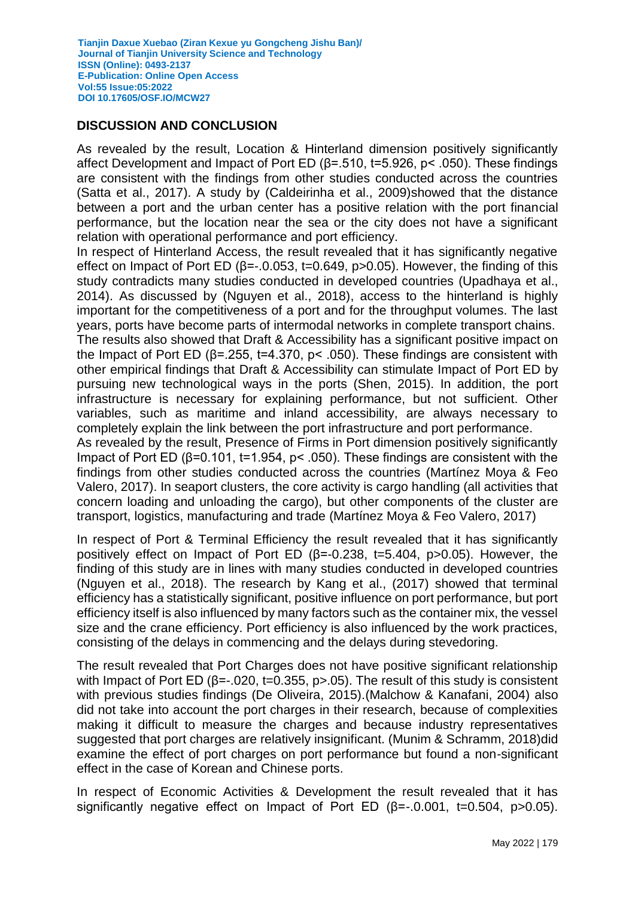### **DISCUSSION AND CONCLUSION**

As revealed by the result, Location & Hinterland dimension positively significantly affect Development and Impact of Port ED (β=.510, t=5.926, p< .050). These findings are consistent with the findings from other studies conducted across the countries (Satta et al., 2017). A study by (Caldeirinha et al., 2009)showed that the distance between a port and the urban center has a positive relation with the port financial performance, but the location near the sea or the city does not have a significant relation with operational performance and port efficiency.

In respect of Hinterland Access, the result revealed that it has significantly negative effect on Impact of Port ED ( $\beta$ =-.0.053, t=0.649, p>0.05). However, the finding of this study contradicts many studies conducted in developed countries (Upadhaya et al., 2014). As discussed by (Nguyen et al., 2018), access to the hinterland is highly important for the competitiveness of a port and for the throughput volumes. The last years, ports have become parts of intermodal networks in complete transport chains.

The results also showed that Draft & Accessibility has a significant positive impact on the Impact of Port ED ( $\beta$ =.255, t=4.370, p< .050). These findings are consistent with other empirical findings that Draft & Accessibility can stimulate Impact of Port ED by pursuing new technological ways in the ports (Shen, 2015). In addition, the port infrastructure is necessary for explaining performance, but not sufficient. Other variables, such as maritime and inland accessibility, are always necessary to completely explain the link between the port infrastructure and port performance.

As revealed by the result, Presence of Firms in Port dimension positively significantly Impact of Port ED (β=0.101, t=1.954, p< .050). These findings are consistent with the findings from other studies conducted across the countries (Martínez Moya & Feo Valero, 2017). In seaport clusters, the core activity is cargo handling (all activities that concern loading and unloading the cargo), but other components of the cluster are transport, logistics, manufacturing and trade (Martínez Moya & Feo Valero, 2017)

In respect of Port & Terminal Efficiency the result revealed that it has significantly positively effect on Impact of Port ED (β=-0.238, t=5.404, p>0.05). However, the finding of this study are in lines with many studies conducted in developed countries (Nguyen et al., 2018). The research by Kang et al., (2017) showed that terminal efficiency has a statistically significant, positive influence on port performance, but port efficiency itself is also influenced by many factors such as the container mix, the vessel size and the crane efficiency. Port efficiency is also influenced by the work practices, consisting of the delays in commencing and the delays during stevedoring.

The result revealed that Port Charges does not have positive significant relationship with Impact of Port ED ( $\beta$ =-.020, t=0.355, p>.05). The result of this study is consistent with previous studies findings (De Oliveira, 2015).(Malchow & Kanafani, 2004) also did not take into account the port charges in their research, because of complexities making it difficult to measure the charges and because industry representatives suggested that port charges are relatively insignificant. (Munim & Schramm, 2018)did examine the effect of port charges on port performance but found a non-significant effect in the case of Korean and Chinese ports.

In respect of Economic Activities & Development the result revealed that it has significantly negative effect on Impact of Port ED  $(8=0.001, t=0.504, p>0.05)$ .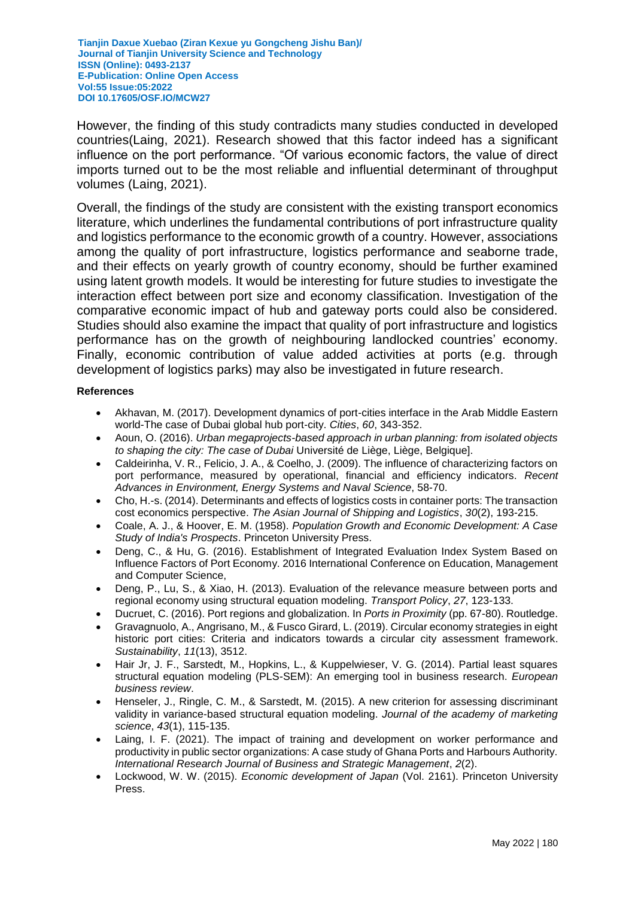However, the finding of this study contradicts many studies conducted in developed countries(Laing, 2021). Research showed that this factor indeed has a significant influence on the port performance. "Of various economic factors, the value of direct imports turned out to be the most reliable and influential determinant of throughput volumes (Laing, 2021).

Overall, the findings of the study are consistent with the existing transport economics literature, which underlines the fundamental contributions of port infrastructure quality and logistics performance to the economic growth of a country. However, associations among the quality of port infrastructure, logistics performance and seaborne trade, and their effects on yearly growth of country economy, should be further examined using latent growth models. It would be interesting for future studies to investigate the interaction effect between port size and economy classification. Investigation of the comparative economic impact of hub and gateway ports could also be considered. Studies should also examine the impact that quality of port infrastructure and logistics performance has on the growth of neighbouring landlocked countries' economy. Finally, economic contribution of value added activities at ports (e.g. through development of logistics parks) may also be investigated in future research.

#### **References**

- Akhavan, M. (2017). Development dynamics of port-cities interface in the Arab Middle Eastern world-The case of Dubai global hub port-city. *Cities*, *60*, 343-352.
- Aoun, O. (2016). *Urban megaprojects-based approach in urban planning: from isolated objects to shaping the city: The case of Dubai* Université de Liège, Liège, Belgique].
- Caldeirinha, V. R., Felicio, J. A., & Coelho, J. (2009). The influence of characterizing factors on port performance, measured by operational, financial and efficiency indicators. *Recent Advances in Environment, Energy Systems and Naval Science*, 58-70.
- Cho, H.-s. (2014). Determinants and effects of logistics costs in container ports: The transaction cost economics perspective. *The Asian Journal of Shipping and Logistics*, *30*(2), 193-215.
- Coale, A. J., & Hoover, E. M. (1958). *Population Growth and Economic Development: A Case Study of India's Prospects*. Princeton University Press.
- Deng, C., & Hu, G. (2016). Establishment of Integrated Evaluation Index System Based on Influence Factors of Port Economy. 2016 International Conference on Education, Management and Computer Science,
- Deng, P., Lu, S., & Xiao, H. (2013). Evaluation of the relevance measure between ports and regional economy using structural equation modeling. *Transport Policy*, *27*, 123-133.
- Ducruet, C. (2016). Port regions and globalization. In *Ports in Proximity* (pp. 67-80). Routledge.
- Gravagnuolo, A., Angrisano, M., & Fusco Girard, L. (2019). Circular economy strategies in eight historic port cities: Criteria and indicators towards a circular city assessment framework. *Sustainability*, *11*(13), 3512.
- Hair Jr, J. F., Sarstedt, M., Hopkins, L., & Kuppelwieser, V. G. (2014). Partial least squares structural equation modeling (PLS-SEM): An emerging tool in business research. *European business review*.
- Henseler, J., Ringle, C. M., & Sarstedt, M. (2015). A new criterion for assessing discriminant validity in variance-based structural equation modeling. *Journal of the academy of marketing science*, *43*(1), 115-135.
- Laing, I. F. (2021). The impact of training and development on worker performance and productivity in public sector organizations: A case study of Ghana Ports and Harbours Authority. *International Research Journal of Business and Strategic Management*, *2*(2).
- Lockwood, W. W. (2015). *Economic development of Japan* (Vol. 2161). Princeton University Press.